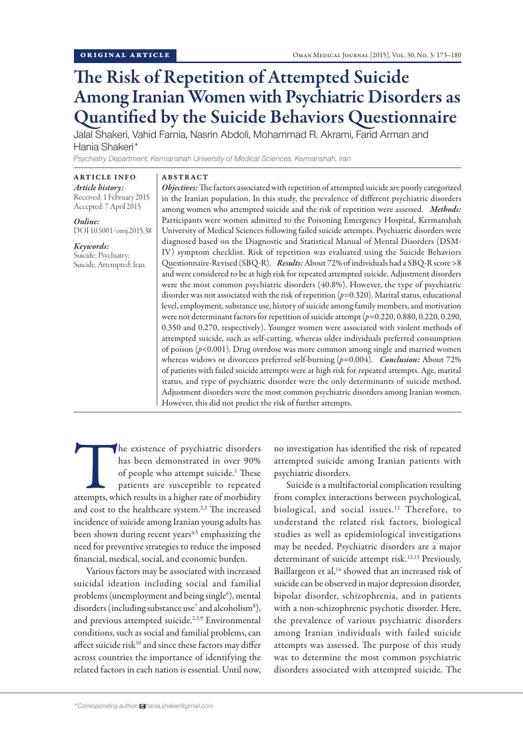# The Risk of Repetition of Attempted Suicide Among Iranian Women with Psychiatric Disorders as Quantified by the Suicide Behaviors Questionnaire

Jalal Shakeri, Vahid Farnia, Nasrin Abdoli, Mohammad R. Akrami, Farid Arman and Hania Shakeri\*

*Psychiatry Department, Kermanshah University of Medical Sciences, Kermanshah, Iran*

ARTICLE INFO *Article history:*  Received: 1 February 2015

Accepted: 7 April 2015

*Online:* DOI 10.5001/omj.2015.38

*Keywords:*  Suicide; Psychiatry; Suicide, Attempted; Iran.

### ABSTRACT

*Objectives:* The factors associated with repetition of attempted suicide are poorly categorized in the Iranian population. In this study, the prevalence of different psychiatric disorders among women who attempted suicide and the risk of repetition were assessed. *Methods:*  Participants were women admitted to the Poisoning Emergency Hospital, Kermanshah University of Medical Sciences following failed suicide attempts. Psychiatric disorders were diagnosed based on the Diagnostic and Statistical Manual of Mental Disorders (DSM-IV) symptom checklist. Risk of repetition was evaluated using the Suicide Behaviors Questionnaire-Revised (SBQ-R). *Results:* About 72% of individuals had a SBQ-R score >8 and were considered to be at high risk for repeated attempted suicide. Adjustment disorders were the most common psychiatric disorders (40.8%). However, the type of psychiatric disorder was not associated with the risk of repetition (*p*=0.320). Marital status, educational level, employment, substance use, history of suicide among family members, and motivation were not determinant factors for repetition of suicide attempt (*p*=0.220, 0.880, 0.220, 0.290, 0.350 and 0.270, respectively). Younger women were associated with violent methods of attempted suicide, such as self-cutting, whereas older individuals preferred consumption of poison (*p*<0.001). Drug overdose was more common among single and married women whereas widows or divorcees preferred self-burning (p=0.004). *Conclusion:* About 72% of patients with failed suicide attempts were at high risk for repeated attempts. Age, marital status, and type of psychiatric disorder were the only determinants of suicide method. Adjustment disorders were the most common psychiatric disorders among Iranian women. However, this did not predict the risk of further attempts.

The existence of psychiatric disorders<br>
has been demonstrated in over 90%<br>
of people who attempt suicide.<sup>1</sup> These<br>
patients are susceptible to repeated<br>
attempts, which results in a higher rate of morbidity has been demonstrated in over 90% of people who attempt suicide.<sup>1</sup> These patients are susceptible to repeated and cost to the healthcare system.<sup>2,3</sup> The increased incidence of suicide among Iranian young adults has been shown during recent years<sup>4,5</sup> emphasizing the need for preventive strategies to reduce the imposed financial, medical, social, and economic burden.

Various factors may be associated with increased suicidal ideation including social and familial problems (unemployment and being single<sup>6</sup>), mental disorders (including substance use<sup>7</sup> and alcoholism<sup>8</sup>), and previous attempted suicide.<sup>2,3,9</sup> Environmental conditions, such as social and familial problems, can affect suicide risk<sup>10</sup> and since these factors may differ across countries the importance of identifying the related factors in each nation is essential. Until now,

biological, and social issues.<sup>11</sup> Therefore, to understand the related risk factors, biological studies as well as epidemiological investigations

psychiatric disorders.

may be needed. Psychiatric disorders are a major determinant of suicide attempt risk.<sup>12,13</sup> Previously, Baillargeon et al,<sup>14</sup> showed that an increased risk of suicide can be observed in major depression disorder, bipolar disorder, schizophrenia, and in patients with a non-schizophrenic psychotic disorder. Here, the prevalence of various psychiatric disorders among Iranian individuals with failed suicide attempts was assessed. The purpose of this study was to determine the most common psychiatric disorders associated with attempted suicide. The

no investigation has identified the risk of repeated attempted suicide among Iranian patients with

Suicide is a multifactorial complication resulting from complex interactions between psychological,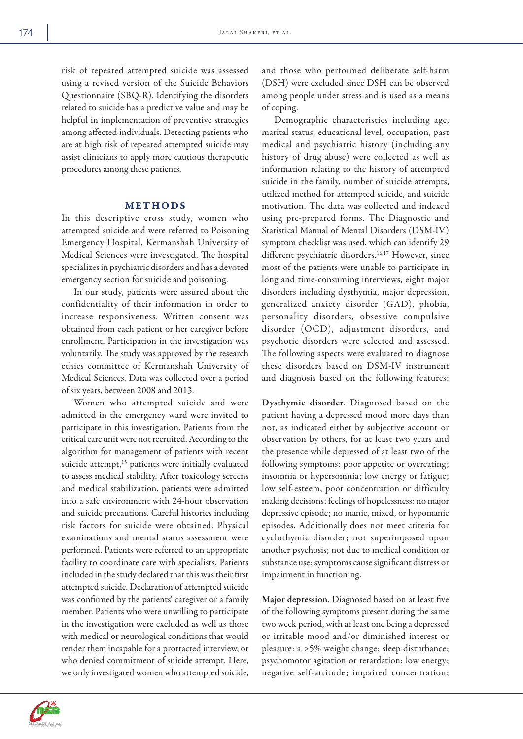risk of repeated attempted suicide was assessed using a revised version of the Suicide Behaviors Questionnaire (SBQ-R). Identifying the disorders related to suicide has a predictive value and may be helpful in implementation of preventive strategies among affected individuals. Detecting patients who are at high risk of repeated attempted suicide may assist clinicians to apply more cautious therapeutic procedures among these patients.

# METHODS

In this descriptive cross study, women who attempted suicide and were referred to Poisoning Emergency Hospital, Kermanshah University of Medical Sciences were investigated. The hospital specializes in psychiatric disorders and has a devoted emergency section for suicide and poisoning.

In our study, patients were assured about the confidentiality of their information in order to increase responsiveness. Written consent was obtained from each patient or her caregiver before enrollment. Participation in the investigation was voluntarily. The study was approved by the research ethics committee of Kermanshah University of Medical Sciences. Data was collected over a period of six years, between 2008 and 2013.

Women who attempted suicide and were admitted in the emergency ward were invited to participate in this investigation. Patients from the critical care unit were not recruited. According to the algorithm for management of patients with recent suicide attempt,<sup>15</sup> patients were initially evaluated to assess medical stability. After toxicology screens and medical stabilization, patients were admitted into a safe environment with 24-hour observation and suicide precautions. Careful histories including risk factors for suicide were obtained. Physical examinations and mental status assessment were performed. Patients were referred to an appropriate facility to coordinate care with specialists. Patients included in the study declared that this was their first attempted suicide. Declaration of attempted suicide was confirmed by the patients' caregiver or a family member. Patients who were unwilling to participate in the investigation were excluded as well as those with medical or neurological conditions that would render them incapable for a protracted interview, or who denied commitment of suicide attempt. Here, we only investigated women who attempted suicide,

and those who performed deliberate self-harm (DSH) were excluded since DSH can be observed among people under stress and is used as a means of coping.

Demographic characteristics including age, marital status, educational level, occupation, past medical and psychiatric history (including any history of drug abuse) were collected as well as information relating to the history of attempted suicide in the family, number of suicide attempts, utilized method for attempted suicide, and suicide motivation. The data was collected and indexed using pre-prepared forms. The Diagnostic and Statistical Manual of Mental Disorders (DSM-IV) symptom checklist was used, which can identify 29 different psychiatric disorders.<sup>16,17</sup> However, since most of the patients were unable to participate in long and time-consuming interviews, eight major disorders including dysthymia, major depression, generalized anxiety disorder (GAD), phobia, personality disorders, obsessive compulsive disorder (OCD), adjustment disorders, and psychotic disorders were selected and assessed. The following aspects were evaluated to diagnose these disorders based on DSM-IV instrument and diagnosis based on the following features:

Dysthymic disorder. Diagnosed based on the patient having a depressed mood more days than not, as indicated either by subjective account or observation by others, for at least two years and the presence while depressed of at least two of the following symptoms: poor appetite or overeating; insomnia or hypersomnia; low energy or fatigue; low self-esteem, poor concentration or difficulty making decisions; feelings of hopelessness; no major depressive episode; no manic, mixed, or hypomanic episodes. Additionally does not meet criteria for cyclothymic disorder; not superimposed upon another psychosis; not due to medical condition or substance use; symptoms cause significant distress or impairment in functioning.

Major depression. Diagnosed based on at least five of the following symptoms present during the same two week period, with at least one being a depressed or irritable mood and/or diminished interest or pleasure: a >5% weight change; sleep disturbance; psychomotor agitation or retardation; low energy; negative self-attitude; impaired concentration;

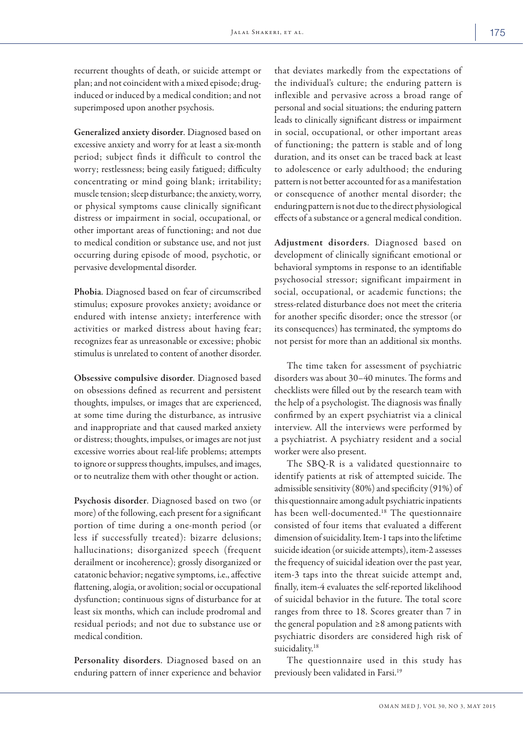recurrent thoughts of death, or suicide attempt or plan; and not coincident with a mixed episode; druginduced or induced by a medical condition; and not superimposed upon another psychosis.

Generalized anxiety disorder. Diagnosed based on excessive anxiety and worry for at least a six-month period; subject finds it difficult to control the worry; restlessness; being easily fatigued; difficulty concentrating or mind going blank; irritability; muscle tension; sleep disturbance; the anxiety, worry, or physical symptoms cause clinically significant distress or impairment in social, occupational, or other important areas of functioning; and not due to medical condition or substance use, and not just occurring during episode of mood, psychotic, or pervasive developmental disorder.

Phobia. Diagnosed based on fear of circumscribed stimulus; exposure provokes anxiety; avoidance or endured with intense anxiety; interference with activities or marked distress about having fear; recognizes fear as unreasonable or excessive; phobic stimulus is unrelated to content of another disorder.

Obsessive compulsive disorder. Diagnosed based on obsessions defined as recurrent and persistent thoughts, impulses, or images that are experienced, at some time during the disturbance, as intrusive and inappropriate and that caused marked anxiety or distress; thoughts, impulses, or images are not just excessive worries about real-life problems; attempts to ignore or suppress thoughts, impulses, and images, or to neutralize them with other thought or action.

Psychosis disorder. Diagnosed based on two (or more) of the following, each present for a significant portion of time during a one-month period (or less if successfully treated): bizarre delusions; hallucinations; disorganized speech (frequent derailment or incoherence); grossly disorganized or catatonic behavior; negative symptoms, i.e., affective flattening, alogia, or avolition; social or occupational dysfunction; continuous signs of disturbance for at least six months, which can include prodromal and residual periods; and not due to substance use or medical condition.

Personality disorders. Diagnosed based on an enduring pattern of inner experience and behavior

that deviates markedly from the expectations of the individual's culture; the enduring pattern is inflexible and pervasive across a broad range of personal and social situations; the enduring pattern leads to clinically significant distress or impairment in social, occupational, or other important areas of functioning; the pattern is stable and of long duration, and its onset can be traced back at least to adolescence or early adulthood; the enduring pattern is not better accounted for as a manifestation or consequence of another mental disorder; the enduring pattern is not due to the direct physiological effects of a substance or a general medical condition.

Adjustment disorders. Diagnosed based on development of clinically significant emotional or behavioral symptoms in response to an identifiable psychosocial stressor; significant impairment in social, occupational, or academic functions; the stress-related disturbance does not meet the criteria for another specific disorder; once the stressor (or its consequences) has terminated, the symptoms do not persist for more than an additional six months.

The time taken for assessment of psychiatric disorders was about 30–40 minutes. The forms and checklists were filled out by the research team with the help of a psychologist. The diagnosis was finally confirmed by an expert psychiatrist via a clinical interview. All the interviews were performed by a psychiatrist. A psychiatry resident and a social worker were also present.

The SBQ-R is a validated questionnaire to identify patients at risk of attempted suicide. The admissible sensitivity (80%) and specificity (91%) of this questionnaire among adult psychiatric inpatients has been well-documented.18 The questionnaire consisted of four items that evaluated a different dimension of suicidality. Item-1 taps into the lifetime suicide ideation (or suicide attempts), item-2 assesses the frequency of suicidal ideation over the past year, item-3 taps into the threat suicide attempt and, finally, item-4 evaluates the self-reported likelihood of suicidal behavior in the future. The total score ranges from three to 18. Scores greater than 7 in the general population and ≥8 among patients with psychiatric disorders are considered high risk of suicidality.<sup>18</sup>

The questionnaire used in this study has previously been validated in Farsi.19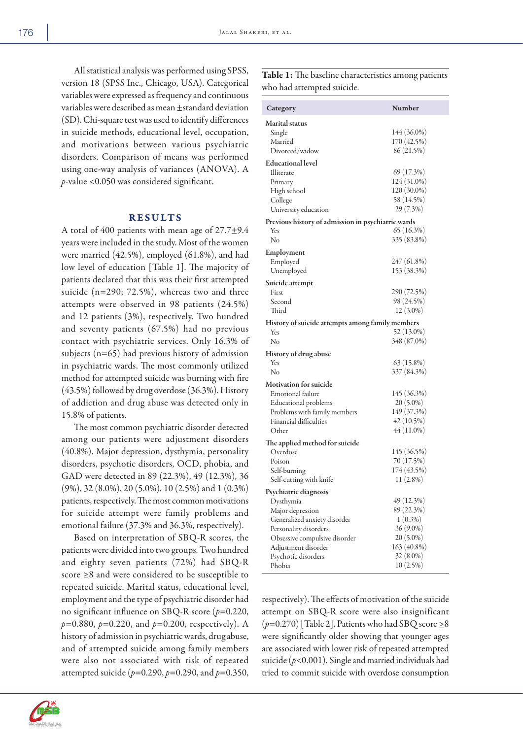All statistical analysis was performed using SPSS, version 18 (SPSS Inc., Chicago, USA). Categorical variables were expressed as frequency and continuous variables were described as mean ±standard deviation (SD). Chi-square test was used to identify differences in suicide methods, educational level, occupation, and motivations between various psychiatric disorders. Comparison of means was performed using one-way analysis of variances (ANOVA). A *p*-value <0.050 was considered significant.

# RESULTS

A total of 400 patients with mean age of 27.7±9.4 years were included in the study. Most of the women were married (42.5%), employed (61.8%), and had low level of education [Table 1]. The majority of patients declared that this was their first attempted suicide (n=290; 72.5%), whereas two and three attempts were observed in 98 patients (24.5%) and 12 patients (3%), respectively. Two hundred and seventy patients (67.5%) had no previous contact with psychiatric services. Only 16.3% of subjects (n=65) had previous history of admission in psychiatric wards. The most commonly utilized method for attempted suicide was burning with fire (43.5%) followed by drug overdose (36.3%). History of addiction and drug abuse was detected only in 15.8% of patients.

The most common psychiatric disorder detected among our patients were adjustment disorders (40.8%). Major depression, dysthymia, personality disorders, psychotic disorders, OCD, phobia, and GAD were detected in 89 (22.3%), 49 (12.3%), 36 (9%), 32 (8.0%), 20 (5.0%), 10 (2.5%) and 1 (0.3%) patients, respectively. The most common motivations for suicide attempt were family problems and emotional failure (37.3% and 36.3%, respectively).

Based on interpretation of SBQ-R scores, the patients were divided into two groups. Two hundred and eighty seven patients (72%) had SBQ-R score ≥8 and were considered to be susceptible to repeated suicide. Marital status, educational level, employment and the type of psychiatric disorder had no significant influence on SBQ-R score (*p*=0.220, *p*=0.880, *p*=0.220, and *p*=0.200, respectively). A history of admission in psychiatric wards, drug abuse, and of attempted suicide among family members were also not associated with risk of repeated attempted suicide (*p*=0.290, *p*=0.290, and *p*=0.350, Table 1: The baseline characteristics among patients who had attempted suicide.

| Category                                                | Number                    |  |
|---------------------------------------------------------|---------------------------|--|
| <b>Marital status</b>                                   |                           |  |
| Single                                                  | 144 (36.0%)               |  |
| Married                                                 | 170 (42.5%)<br>86 (21.5%) |  |
| Divorced/widow                                          |                           |  |
| <b>Educational level</b>                                |                           |  |
| Illiterate                                              | 69(17.3%)                 |  |
| Primary                                                 | 124 (31.0%)               |  |
| High school                                             | 120 (30.0%)               |  |
| College                                                 | 58 (14.5%)                |  |
| University education                                    | $29(7.3\%)$               |  |
| Previous history of admission in psychiatric wards      |                           |  |
| Yes                                                     | $65(16.3\%)$              |  |
| No                                                      | 335 (83.8%)               |  |
| Employment                                              |                           |  |
| Employed                                                | 247 (61.8%)               |  |
| Unemployed                                              | 153 (38.3%)               |  |
| Suicide attempt                                         |                           |  |
| First                                                   | 290 (72.5%)               |  |
| Second                                                  | 98 (24.5%)                |  |
| Third                                                   | $12(3.0\%)$               |  |
| History of suicide attempts among family members<br>Yes | 52 (13.0%)                |  |
| No                                                      | 348 (87.0%)               |  |
|                                                         |                           |  |
| <b>History of drug abuse</b>                            |                           |  |
| Yes<br>No                                               | $63(15.8\%)$              |  |
|                                                         | 337 (84.3%)               |  |
| <b>Motivation for suicide</b>                           |                           |  |
| Emotional failure                                       | 145 (36.3%)               |  |
| Educational problems                                    | $20(5.0\%)$               |  |
| Problems with family members                            | 149 (37.3%)               |  |
| Financial difficulties                                  | $42(10.5\%)$              |  |
| Other                                                   | $44(11.0\%)$              |  |
| The applied method for suicide                          |                           |  |
| Overdose                                                | 145 (36.5%)               |  |
| Poison                                                  | 70 (17.5%)                |  |
| Self-burning                                            | 174 (43.5%)               |  |
| Self-cutting with knife                                 | $11(2.8\%)$               |  |
| Psychiatric diagnosis                                   |                           |  |
| Dysthymia                                               | 49 (12.3%)                |  |
| Major depression                                        | 89 (22.3%)                |  |
| Generalized anxiety disorder                            | $1(0.3\%)$                |  |
| Personality disorders                                   | 36 (9.0%)                 |  |
| Obsessive compulsive disorder                           | $20(5.0\%)$               |  |
| Adjustment disorder                                     | 163 (40.8%)               |  |
| Psychotic disorders                                     | 32 (8.0%)                 |  |
| Phobia                                                  | $10(2.5\%)$               |  |

respectively). The effects of motivation of the suicide attempt on SBQ-R score were also insignificant  $(p=0.270)$  [Table 2]. Patients who had SBQ score  $\geq 8$ were significantly older showing that younger ages are associated with lower risk of repeated attempted suicide (*p*<0.001). Single and married individuals had tried to commit suicide with overdose consumption

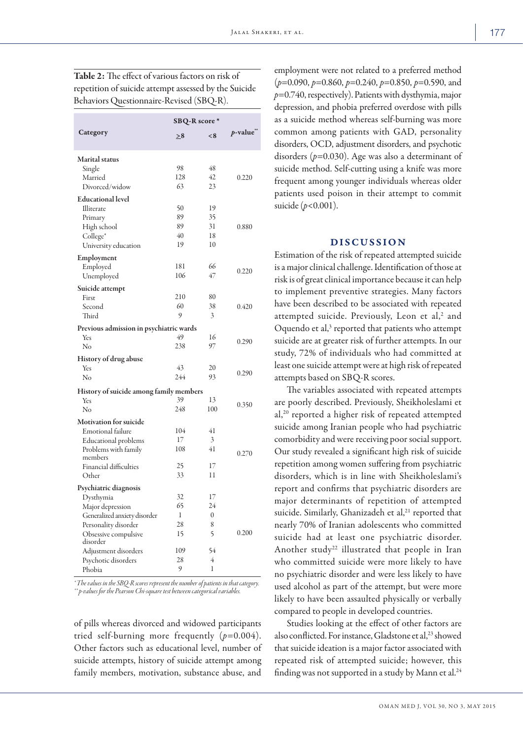|                                         | SBQ-R score* |                  |            |
|-----------------------------------------|--------------|------------------|------------|
| Category                                | $\geq 8$     | < 8              | $p$ -value |
| Marital status                          |              |                  |            |
| Single                                  | 98           | 48               |            |
| Married                                 | 128          | 42               | 0.220      |
| Divorced/widow                          | 63           | 23               |            |
| <b>Educational level</b>                |              |                  |            |
| Illiterate                              | 50           | 19               |            |
| Primary                                 | 89           | 35               |            |
| High school                             | 89           | 31               | 0.880      |
| College*                                | 40           | 18               |            |
| University education                    | 19           | 10               |            |
| Employment                              |              |                  |            |
| Employed                                | 181          | 66               |            |
| Unemployed                              | 106          | 47               | 0.220      |
| Suicide attempt                         |              |                  |            |
| First                                   | 210          | 80               |            |
| Second                                  | 60           | 38               | 0.420      |
| Third                                   | 9            | 3                |            |
| Previous admission in psychiatric wards |              |                  |            |
| Yes                                     | 49           | 16               |            |
| No                                      | 238          | 97               | 0.290      |
| <b>History of drug abuse</b>            |              |                  |            |
| Yes                                     | 43           | 20               |            |
| No                                      | 244          | 93               | 0.290      |
| History of suicide among family members |              |                  |            |
| Yes                                     | 39           | 13               |            |
| No                                      | 248          | 100              | 0.350      |
| <b>Motivation for suicide</b>           |              |                  |            |
| Emotional failure                       | 104          | 41               |            |
| <b>Educational</b> problems             | 17           | 3                |            |
| Problems with family                    | 108          | 41               |            |
| members                                 |              |                  | 0.270      |
| Financial difficulties                  | 25           | 17               |            |
| Other                                   | 33           | 11               |            |
| Psychiatric diagnosis                   |              |                  |            |
| Dysthymia                               | 32           | 17               |            |
| Major depression                        | 65           | 24               |            |
| Generalized anxiety disorder            | 1            | $\boldsymbol{0}$ |            |
| Personality disorder                    | 28           | 8                |            |
| Obsessive compulsive                    | 15           | 5                | 0.200      |
| disorder                                |              |                  |            |
| Adjustment disorders                    | 109<br>28    | 54<br>4          |            |
| Psychotic disorders<br>Phobia           | 9            | 1                |            |

Table 2: The effect of various factors on risk of repetition of suicide attempt assessed by the Suicide

*\* The values in the SBQ-R scores represent the number of patients in that category. \*\* p-values for the Pearson Chi-square test between categorical variables.*

of pills whereas divorced and widowed participants tried self-burning more frequently  $(p=0.004)$ . Other factors such as educational level, number of suicide attempts, history of suicide attempt among family members, motivation, substance abuse, and

employment were not related to a preferred method (*p*=0.090, *p*=0.860, *p*=0.240, *p*=0.850, *p*=0.590, and *p*=0.740, respectively). Patients with dysthymia, major depression, and phobia preferred overdose with pills as a suicide method whereas self-burning was more common among patients with GAD, personality disorders, OCD, adjustment disorders, and psychotic disorders (*p*=0.030). Age was also a determinant of suicide method. Self-cutting using a knife was more frequent among younger individuals whereas older patients used poison in their attempt to commit suicide (*p*<0.001).

## DISCUSSION

Estimation of the risk of repeated attempted suicide is a major clinical challenge. Identification of those at risk is of great clinical importance because it can help to implement preventive strategies. Many factors have been described to be associated with repeated attempted suicide. Previously, Leon et al,<sup>2</sup> and Oquendo et al,<sup>3</sup> reported that patients who attempt suicide are at greater risk of further attempts. In our study, 72% of individuals who had committed at least one suicide attempt were at high risk of repeated attempts based on SBQ-R scores.

The variables associated with repeated attempts are poorly described. Previously, Sheikholeslami et al,20 reported a higher risk of repeated attempted suicide among Iranian people who had psychiatric comorbidity and were receiving poor social support. Our study revealed a significant high risk of suicide repetition among women suffering from psychiatric disorders, which is in line with Sheikholeslami's report and confirms that psychiatric disorders are major determinants of repetition of attempted suicide. Similarly, Ghanizadeh et al,<sup>21</sup> reported that nearly 70% of Iranian adolescents who committed suicide had at least one psychiatric disorder. Another study<sup>22</sup> illustrated that people in Iran who committed suicide were more likely to have no psychiatric disorder and were less likely to have used alcohol as part of the attempt, but were more likely to have been assaulted physically or verbally compared to people in developed countries.

Studies looking at the effect of other factors are also conflicted. For instance, Gladstone et al,<sup>23</sup> showed that suicide ideation is a major factor associated with repeated risk of attempted suicide; however, this finding was not supported in a study by Mann et al. $24$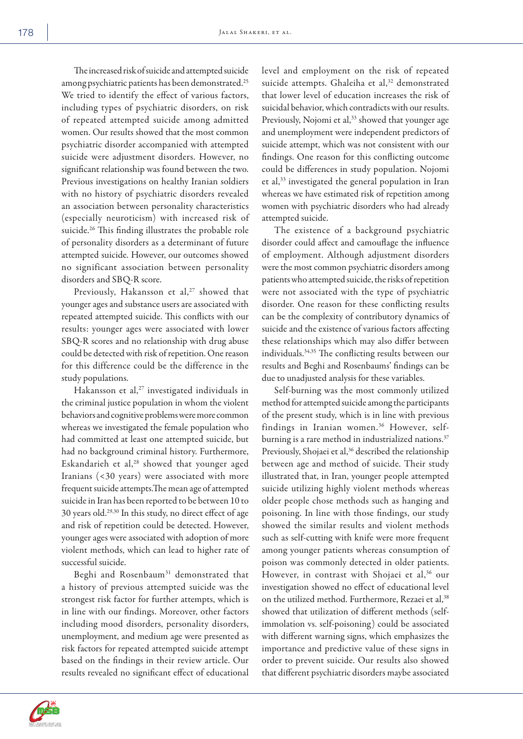The increased risk of suicide and attempted suicide among psychiatric patients has been demonstrated.25 We tried to identify the effect of various factors, including types of psychiatric disorders, on risk of repeated attempted suicide among admitted women. Our results showed that the most common psychiatric disorder accompanied with attempted suicide were adjustment disorders. However, no significant relationship was found between the two. Previous investigations on healthy Iranian soldiers with no history of psychiatric disorders revealed an association between personality characteristics (especially neuroticism) with increased risk of suicide.<sup>26</sup> This finding illustrates the probable role of personality disorders as a determinant of future attempted suicide. However, our outcomes showed no significant association between personality disorders and SBQ-R score.

Previously, Hakansson et al,<sup>27</sup> showed that younger ages and substance users are associated with repeated attempted suicide. This conflicts with our results: younger ages were associated with lower SBQ-R scores and no relationship with drug abuse could be detected with risk of repetition. One reason for this difference could be the difference in the study populations.

Hakansson et al, $27$  investigated individuals in the criminal justice population in whom the violent behaviors and cognitive problems were more common whereas we investigated the female population who had committed at least one attempted suicide, but had no background criminal history. Furthermore, Eskandarieh et al,<sup>28</sup> showed that younger aged Iranians (<30 years) were associated with more frequent suicide attempts.The mean age of attempted suicide in Iran has been reported to be between 10 to 30 years old.29,30 In this study, no direct effect of age and risk of repetition could be detected. However, younger ages were associated with adoption of more violent methods, which can lead to higher rate of successful suicide.

Beghi and Rosenbaum31 demonstrated that a history of previous attempted suicide was the strongest risk factor for further attempts, which is in line with our findings. Moreover, other factors including mood disorders, personality disorders, unemployment, and medium age were presented as risk factors for repeated attempted suicide attempt based on the findings in their review article. Our results revealed no significant effect of educational level and employment on the risk of repeated suicide attempts. Ghaleiha et al,<sup>32</sup> demonstrated that lower level of education increases the risk of suicidal behavior, which contradicts with our results. Previously, Nojomi et al,<sup>33</sup> showed that younger age and unemployment were independent predictors of suicide attempt, which was not consistent with our findings. One reason for this conflicting outcome could be differences in study population. Nojomi et al,33 investigated the general population in Iran whereas we have estimated risk of repetition among women with psychiatric disorders who had already attempted suicide.

The existence of a background psychiatric disorder could affect and camouflage the influence of employment. Although adjustment disorders were the most common psychiatric disorders among patients who attempted suicide, the risks of repetition were not associated with the type of psychiatric disorder. One reason for these conflicting results can be the complexity of contributory dynamics of suicide and the existence of various factors affecting these relationships which may also differ between individuals.34,35 The conflicting results between our results and Beghi and Rosenbaums' findings can be due to unadjusted analysis for these variables.

Self-burning was the most commonly utilized method for attempted suicide among the participants of the present study, which is in line with previous findings in Iranian women.<sup>36</sup> However, selfburning is a rare method in industrialized nations.<sup>37</sup> Previously, Shojaei et al,<sup>36</sup> described the relationship between age and method of suicide. Their study illustrated that, in Iran, younger people attempted suicide utilizing highly violent methods whereas older people chose methods such as hanging and poisoning. In line with those findings, our study showed the similar results and violent methods such as self-cutting with knife were more frequent among younger patients whereas consumption of poison was commonly detected in older patients. However, in contrast with Shojaei et al,<sup>36</sup> our investigation showed no effect of educational level on the utilized method. Furthermore, Rezaei et al,<sup>38</sup> showed that utilization of different methods (selfimmolation vs. self-poisoning) could be associated with different warning signs, which emphasizes the importance and predictive value of these signs in order to prevent suicide. Our results also showed that different psychiatric disorders maybe associated

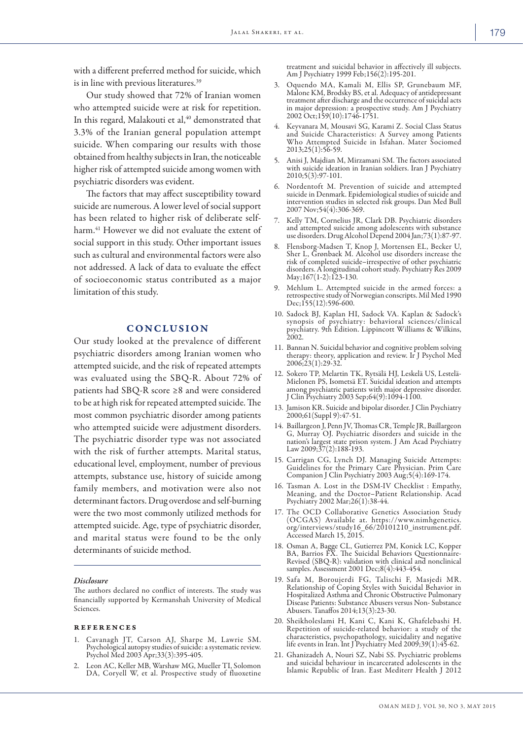with a different preferred method for suicide, which is in line with previous literatures.39

Our study showed that 72% of Iranian women who attempted suicide were at risk for repetition. In this regard, Malakouti et al,<sup>40</sup> demonstrated that 3.3% of the Iranian general population attempt suicide. When comparing our results with those obtained from healthy subjects in Iran, the noticeable higher risk of attempted suicide among women with psychiatric disorders was evident.

The factors that may affect susceptibility toward suicide are numerous. A lower level of social support has been related to higher risk of deliberate selfharm.<sup>41</sup> However we did not evaluate the extent of social support in this study. Other important issues such as cultural and environmental factors were also not addressed. A lack of data to evaluate the effect of socioeconomic status contributed as a major limitation of this study.

# **CONCLUSION**

Our study looked at the prevalence of different psychiatric disorders among Iranian women who attempted suicide, and the risk of repeated attempts was evaluated using the SBQ-R. About 72% of patients had SBQ-R score ≥8 and were considered to be at high risk for repeated attempted suicide. The most common psychiatric disorder among patients who attempted suicide were adjustment disorders. The psychiatric disorder type was not associated with the risk of further attempts. Marital status, educational level, employment, number of previous attempts, substance use, history of suicide among family members, and motivation were also not determinant factors. Drug overdose and self-burning were the two most commonly utilized methods for attempted suicide. Age, type of psychiatric disorder, and marital status were found to be the only determinants of suicide method.

#### *Disclosure*

The authors declared no conflict of interests. The study was financially supported by Kermanshah University of Medical Sciences.

#### references

- 1. Cavanagh JT, Carson AJ, Sharpe M, Lawrie SM. Psychological autopsy studies of suicide: a systematic review. Psychol Med 2003 Apr;33(3):395-405.
- 2. Leon AC, Keller MB, Warshaw MG, Mueller TI, Solomon DA, Coryell W, et al. Prospective study of fluoxetine

treatment and suicidal behavior in affectively ill subjects. Am J Psychiatry 1999 Feb;156(2):195-201.

- 3. Oquendo MA, Kamali M, Ellis SP, Grunebaum MF, Malone KM, Brodsky BS, et al. Adequacy of antidepressant treatment after discharge and the occurrence of suicidal acts in major depression: a prospective study. Am J Psychiatry 2002 Oct;159(10):1746-1751.
- 4. Keyvanara M, Mousavi SG, Karami Z. Social Class Status and Suicide Characteristics: A Survey among Patients Who Attempted Suicide in Isfahan. Mater Sociomed  $2013;25(1):56-59.$
- 5. Anisi J, Majdian M, Mirzamani SM. The factors associated with suicide ideation in Iranian soldiers. Iran J Psychiatry 2010;5(3):97-101.
- 6. Nordentoft M. Prevention of suicide and attempted suicide in Denmark. Epidemiological studies of suicide and intervention studies in selected risk groups. Dan Med Bull 2007 Nov;54(4):306-369.
- 7. Kelly TM, Cornelius JR, Clark DB. Psychiatric disorders and attempted suicide among adolescents with substance use disorders. Drug Alcohol Depend 2004 Jan;73(1):87-97.
- 8. Flensborg-Madsen T, Knop J, Mortensen EL, Becker U, Sher L, Grønbaek M. Alcohol use disorders increase the risk of completed suicide–irrespective of other psychiatric disorders. A longitudinal cohort study. Psychiatry Res 2009 May;167(1-2):123-130.
- Mehlum L. Attempted suicide in the armed forces: a retrospective study of Norwegian conscripts. Mil Med 1990 Dec;155(12):596-600.
- 10. Sadock BJ, Kaplan HI, Sadock VA. Kaplan & Sadock's synopsis of psychiatry: behavioral sciences/clinical psychiatry. 9th Edition. Lippincott Williams & Wilkins, 2002.
- 11. Bannan N. Suicidal behavior and cognitive problem solving therapy: theory, application and review. Ir J Psychol Med 2006;23(1):29-32.
- 12. Sokero TP, Melartin TK, Rytsälä HJ, Leskelä US, Lestelä-Mielonen PS, Isometsä ET. Suicidal ideation and attempts among psychiatric patients with major depressive disorder. J Clin Psychiatry 2003 Sep;64(9):1094-1100.
- 13. Jamison KR. Suicide and bipolar disorder. J Clin Psychiatry 2000;61(Suppl 9):47-51.
- 14. Baillargeon J, Penn JV, Thomas CR, Temple JR, Baillargeon G, Murray OJ. Psychiatric disorders and suicide in the nation's largest state prison system. J Am Acad Psychiatry Law 2009;37(2):188-193.
- 15. Carrigan CG, Lynch DJ. Managing Suicide Attempts: Guidelines for the Primary Care Physician. Prim Care Companion J Clin Psychiatry 2003 Aug;5(4):169-174.
- 16. Tasman A. Lost in the DSM-IV Checklist : Empathy, Meaning, and the Doctor–Patient Relationship. Acad Psychiatry 2002 Mar;26(1):38-44.
- 17. The OCD Collaborative Genetics Association Study (OCGAS) Available at. https://www.nimhgenetics. org/interviews/study16\_66/20101210\_instrument.pdf. Accessed March 15, 2015.
- 18. Osman A, Bagge CL, Gutierrez PM, Konick LC, Kopper BA, Barrios FX. The Suicidal Behaviors Questionnaire-Revised (SBQ-R): validation with clinical and nonclinical samples. Assessment 2001 Dec;8(4):443-454.
- 19. Safa M, Boroujerdi FG, Talischi F, Masjedi MR . Relationship of Coping Styles with Suicidal Behavior in Hospitalized Asthma and Chronic Obstructive Pulmonary Disease Patients: Substance Abusers versus Non- Substance Abusers. Tanaffos 2014;13(3):23-30.
- 20. Sheikholeslami H, Kani C, Kani K, Ghafelebashi H. Repetition of suicide-related behavior: a study of the characteristics, psychopathology, suicidality and negative life events in Iran. Int J Psychiatry Med 2009;39(1):45-62.
- 21. Ghanizadeh A, Nouri SZ, Nabi SS. Psychiatric problems and suicidal behaviour in incarcerated adolescents in the Islamic Republic of Iran. East Mediterr Health J 2012